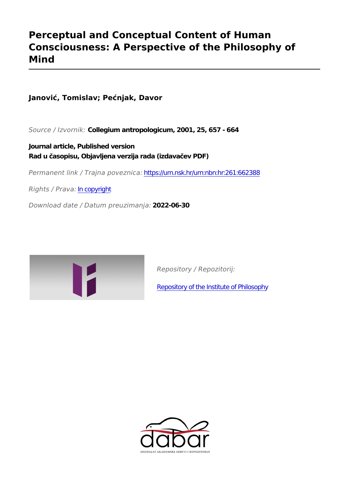## **Perceptual and Conceptual Content of Human Consciousness: A Perspective of the Philosophy of Mind**

**Janović, Tomislav; Pećnjak, Davor**

*Source / Izvornik:* **Collegium antropologicum, 2001, 25, 657 - 664**

**Journal article, Published version Rad u časopisu, Objavljena verzija rada (izdavačev PDF)**

*Permanent link / Trajna poveznica:* <https://urn.nsk.hr/urn:nbn:hr:261:662388>

*Rights / Prava:* [In copyright](http://rightsstatements.org/vocab/InC/1.0/)

*Download date / Datum preuzimanja:* **2022-06-30**



*Repository / Repozitorij:*

[Repository of the Institute of Philosophy](https://repozitorij.ifzg.hr)

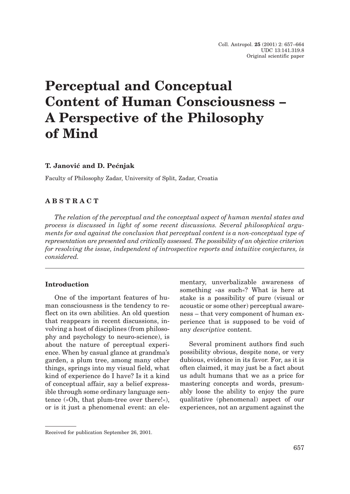# **Perceptual and Conceptual Content of Human Consciousness – A Perspective of the Philosophy of Mind**

#### **T. Janović and D. Pećnjak**

Faculty of Philosophy Zadar, University of Split, Zadar, Croatia

### **ABSTRACT**

*The relation of the perceptual and the conceptual aspect of human mental states and process is discussed in light of some recent discussions. Several philosophical arguments for and against the conclusion that perceptual content is a non-conceptual type of representation are presented and critically assessed. The possibility of an objective criterion for resolving the issue, independent of introspective reports and intuitive conjectures, is considered.*

#### **Introduction**

One of the important features of human consciousness is the tendency to reflect on its own abilities. An old question that reappears in recent discussions, involving a host of disciplines (from philosophy and psychology to neuro-science), is about the nature of perceptual experience. When by casual glance at grandma's garden, a plum tree, among many other things, springs into my visual field, what kind of experience do I have? Is it a kind of conceptual affair, say a belief expressible through some ordinary language sentence (»Oh, that plum-tree over there!«), or is it just a phenomenal event: an elementary, unverbalizable awareness of something »as such«? What is here at stake is a possibility of pure (visual or acoustic or some other) perceptual awareness – that very component of human experience that is supposed to be void of any *descriptive* content.

Several prominent authors find such possibility obvious, despite none, or very dubious, evidence in its favor. For, as it is often claimed, it may just be a fact about us adult humans that we as a price for mastering concepts and words, presumably loose the ability to enjoy the pure qualitative (phenomenal) aspect of our experiences, not an argument against the

Received for publication September 26, 2001.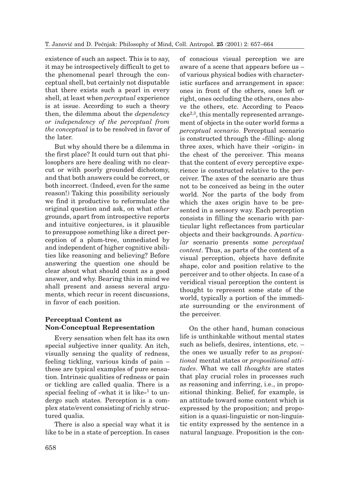existence of such an aspect. This is to say, it may be introspectively difficult to get to the phenomenal pearl through the conceptual shell, but certainly not disputable that there exists such a pearl in every shell, at least when *perceptual* experience is at issue. According to such a theory then, the dilemma about the *dependency or independency of the perceptual from the conceptual* is to be resolved in favor of the later.

But why should there be a dilemma in the first place? It could turn out that philosophers are here dealing with no clearcut or with poorly grounded dichotomy, and that both answers could be correct, or both incorrect. (Indeed, even for the same reason!) Taking this possibility seriously we find it productive to reformulate the original question and ask, on what *other* grounds, apart from introspective reports and intuitive conjectures, is it plausible to presuppose something like a direct perception of a plum-tree, unmediated by and independent of higher cognitive abilities like reasoning and believing? Before answering the question one should be clear about what should count as a good answer, and why. Bearing this in mind we shall present and assess several arguments, which recur in recent discussions, in favor of each position.

## **Perceptual Content as Non-Conceptual Representation**

Every sensation when felt has its own special subjective inner quality. An itch, visually sensing the quality of redness, feeling tickling, various kinds of pain – these are typical examples of pure sensation. Intrinsic qualities of redness or pain or tickling are called qualia. There is a special feeling of »what it is like« $1$  to undergo such states. Perception is a complex state/event consisting of richly structured qualia.

There is also a special way what it is like to be in a state of perception. In cases

of conscious visual perception we are aware of a scene that appears before us – of various physical bodies with characteristic surfaces and arrangement in space: ones in front of the others, ones left or right, ones occluding the others, ones above the others, etc. According to Peacocke2,3, this mentally represented arrangement of objects in the outer world forms a *perceptual scenario*. Perceptual scenario is constructed through the »filling« along three axes, which have their »origin« in the chest of the perceiver. This means that the content of every perceptive experience is constructed relative to the perceiver. The axes of the scenario are thus not to be conceived as being in the outer world. Nor the parts of the body from which the axes origin have to be presented in a sensory way. Each perception consists in filling the scenario with particular light reflectances from particular objects and their backgrounds. A *particular* scenario presents some *perceptual content*. Thus, as parts of the content of a visual perception, objects have definite shape, color and position relative to the perceiver and to other objects. In case of a veridical visual perception the content is thought to represent some state of the world, typically a portion of the immediate surrounding or the environment of the perceiver.

On the other hand, human conscious life is unthinkable without mental states such as beliefs, desires, intentions, etc. – the ones we usually refer to as *propositional* mental states or *propositional attitudes*. What we call *thoughts* are states that play crucial roles in processes such as reasoning and inferring, i.e., in propositional thinking. Belief, for example, is an attitude toward some content which is expressed by the proposition; and proposition is a quasi-linguistic or non-linguistic entity expressed by the sentence in a natural language. Proposition is the con-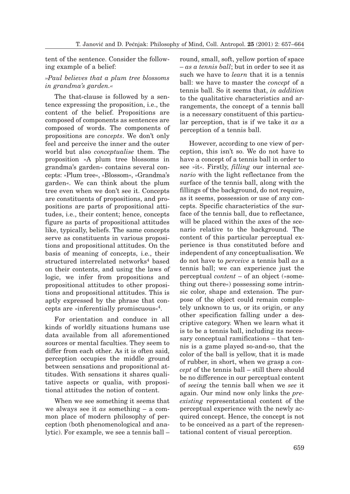tent of the sentence. Consider the following example of a belief:

#### *»Paul believes that a plum tree blossoms in grandma's garden.«*

The that-clause is followed by a sentence expressing the proposition, i.e., the content of the belief. Propositions are composed of components as sentences are composed of words. The components of propositions are *concepts*. We don't only feel and perceive the inner and the outer world but also *conceptualise* them. The proposition »A plum tree blossoms in grandma's garden« contains several concepts: »Plum tree«, »Blossom«, »Grandma's garden«. We can think about the plum tree even when we don't see it. Concepts are constituents of propositions, and propositions are parts of propositional attitudes, i.e., their content; hence, concepts figure as parts of propositional attitudes like, typically, beliefs. The same concepts serve as constituents in various propositions and propositional attitudes. On the basis of meaning of concepts, i.e., their structured interrelated networks<sup>4</sup> based on their contents, and using the laws of logic, we infer from propositions and propositional attitudes to other propositions and propositional attitudes. This is aptly expressed by the phrase that concepts are »inferentially promiscuous«4.

For orientation and conduce in all kinds of worldly situations humans use data available from all aforementioned sources or mental faculties. They seem to differ from each other. As it is often said, perception occupies the middle ground between sensations and propositional attitudes. With sensations it shares qualitative aspects or qualia, with propositional attitudes the notion of content.

When we see something it seems that we always see it *as* something – a common place of modern philosophy of perception (both phenomenological and analytic). For example, we see a tennis ball – round, small, soft, yellow portion of space – *as a tennis ball*; but in order to see it as such we have to *learn* that it is a tennis ball: we have to master the *concept* of a tennis ball. So it seems that, *in addition* to the qualitative characteristics and arrangements, the concept of a tennis ball is a necessary constituent of this particular perception, that is if we take it *as* a perception of a tennis ball.

However, according to one view of perception, this isn't so. We do not have to have a concept of a tennis ball in order to see »it«. Firstly, *filling* our internal *scenario* with the light reflectance from the surface of the tennis ball, along with the fillings of the background, do not require, as it seems, possession or use of any concepts. Specific characteristics of the surface of the tennis ball, due to reflectance, will be placed within the axes of the scenario relative to the background. The content of this particular perceptual experience is thus constituted before and independent of any conceptualisation. We do not have to *perceive* a tennis ball *as* a tennis ball; we can experience just the perceptual *content* – of an object (»something out there«) possessing some intrinsic color, shape and extension. The purpose of the object could remain completely unknown to us, or its origin, or any other specification falling under a descriptive category. When we learn what it is to be a tennis ball, including its necessary conceptual ramifications – that tennis is a game played so-and-so, that the color of the ball is yellow, that it is made of rubber, in short, when we grasp a *concept* of the tennis ball – still there should be no difference in our perceptual content of *seeing* the tennis ball when we *see* it again. Our mind now only links the *preexisting* representational content of the perceptual experience with the newly acquired concept. Hence, the concept is not to be conceived as a part of the representational content of visual perception.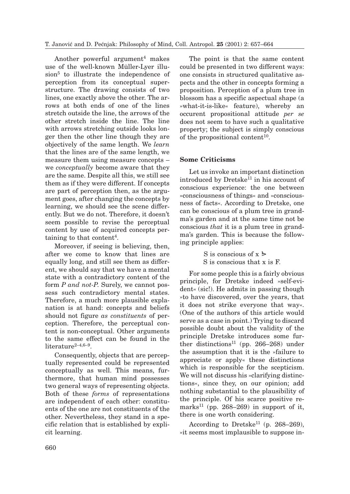Another powerful argument<sup>4</sup> makes use of the well-known Müller-Lyer illusion<sup>5</sup> to illustrate the independence of perception from its conceptual superstructure. The drawing consists of two lines, one exactly above the other. The arrows at both ends of one of the lines stretch outside the line, the arrows of the other stretch inside the line. The line with arrows stretching outside looks longer then the other line though they are objectively of the same length. We *learn* that the lines are of the same length, we measure them using measure concepts – we *conceptually* become aware that they are the same. Despite all this, we still see them as if they were different. If concepts are part of perception then, as the argument goes, after changing the concepts by learning, we should see the scene differently. But we do not. Therefore, it doesn't seem possible to revise the perceptual content by use of acquired concepts pertaining to that content<sup>4</sup>.

Moreover, if seeing is believing, then, after we come to know that lines are equally long, and still see them as different, we should say that we have a mental state with a contradictory content of the form *P and not-P*. Surely, we cannot possess such contradictory mental states. Therefore, a much more plausible explanation is at hand: concepts and beliefs should not figure *as constituents* of perception. Therefore, the perceptual content is non-conceptual. Other arguments to the same effect can be found in the literature<sup>2–4,6–9</sup>

Consequently, objects that are perceptually represented could be represented conceptually as well. This means, furthermore, that human mind possesses two general ways of representing objects. Both of these *forms* of representations are independent of each other: constituents of the one are not constituents of the other. Nevertheless, they stand in a specific relation that is established by explicit learning.

The point is that the same content could be presented in two different ways: one consists in structured qualitative aspects and the other in concepts forming a proposition. Perception of a plum tree in blossom has a specific aspectual shape (a »what-it-is-like« feature), whereby an occurent propositional attitude *per se* does not seem to have such a qualitative property; the subject is simply conscious of the propositional content<sup>10</sup>.

#### **Some Criticisms**

Let us invoke an important distinction introduced by Dretske<sup>11</sup> in his account of conscious experience: the one between »consciousness of things« and »consciousness of facts«. According to Dretske, one can be conscious of a plum tree in grandma's garden and at the same time not be conscious *that* it is a plum tree in grandma's garden. This is because the following principle applies:

> S is conscious of x S is conscious that x is F.

For some people this is a fairly obvious principle, for Dretske indeed »self-evident« (sic!). He admits in passing though »to have discovered, over the years, that it does not strike everyone that way«. (One of the authors of this article would serve as a case in point.) Trying to discard possible doubt about the validity of the principle Dretske introduces some further distinctions<sup>11</sup> (pp. 266–268) under the assumption that it is the »failure to appreciate or apply« these distinctions which is responsible for the scepticism. We will not discuss his »clarifying distinctions«, since they, on our opinion; add nothing substantial to the plausibility of the principle. Of his scarce positive remarks<sup>11</sup> (pp. 268–269) in support of it, there is one worth considering.

According to Dretske<sup>11</sup> (p. 268–269), »it seems most implausible to suppose in-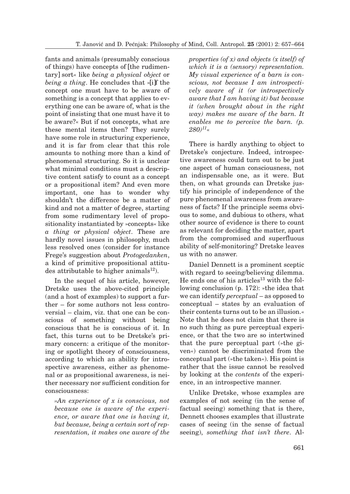fants and animals (presumably conscious of things) have concepts of the rudimentary sort« like *being a physical object* or *being a thing*. He concludes that » i f the concept one must have to be aware of something is a concept that applies to everything one can be aware of, what is the point of insisting that one must have it to be aware?« But if not concepts, what are these mental items then? They surely have some role in structuring experience, and it is far from clear that this role amounts to nothing more than a kind of phenomenal structuring. So it is unclear what minimal conditions must a descriptive content satisfy to count as a concept or a propositional item? And even more important, one has to wonder why shouldn't the difference be a matter of kind and not a matter of degree, starting from some rudimentary level of propositionality instantiated by »concepts« like *a thing* or *physical object*. These are hardly novel issues in philosophy, much less resolved ones (consider for instance Frege's suggestion about *Protogedanken*, a kind of primitive propositional attitudes attributable to higher animals $^{12}$ ).

In the sequel of his article, however, Dretske uses the above-cited principle (and a host of examples) to support a further – for some authors not less controversial – claim, viz. that one can be conscious of something without being conscious that he is conscious of it. In fact, this turns out to be Dretske's primary concern: a critique of the monitoring or spotlight theory of consciousness, according to which an ability for introspective awareness, either as phenomenal or as propositional awareness, is neither necessary nor sufficient condition for consciousness:

*»An experience of x is conscious, not because one is aware of the experience, or aware that one is having it, but because, being a certain sort of representation, it makes one aware of the* *properties (of x) and objects (x itself) of which it is a (sensory) representation. My visual experience of a barn is conscious, not because I am introspectively aware of it (or introspectively aware that I am having it) but because it (when brought about in the right way) makes me aware of the barn. It enables me to perceive the barn. (p. 280)11*«

There is hardly anything to object to Dretske's conjecture. Indeed, introspective awareness could turn out to be just one aspect of human consciousness, not an indispensable one, as it were. But then, on what grounds can Dretske justify his principle of independence of the pure phenomenal awareness from awareness of facts? If the principle seems obvious to some, and dubious to others, what other source of evidence is there to count as relevant for deciding the matter, apart from the compromised and superfluous ability of self-monitoring? Dretske leaves us with no answer.

Daniel Dennett is a prominent sceptic with regard to seeing/believing dilemma. He ends one of his articles<sup>13</sup> with the following conclusion (p. 172): »the idea that we can identify *perceptual* – as opposed to conceptual – states by an evaluation of their contents turns out to be an illusion.« Note that he does not claim that there is no such thing as pure perceptual experience, or that the two are so intertwined that the pure perceptual part (»the given«) cannot be discriminated from the conceptual part (»the taken«). His point is rather that the issue cannot be resolved by looking at the *contents* of the experience, in an introspective manner.

Unlike Dretske, whose examples are examples of not seeing (in the sense of factual seeing) something that is there, Dennett chooses examples that illustrate cases of seeing (in the sense of factual seeing), *something that isn't there*. Al-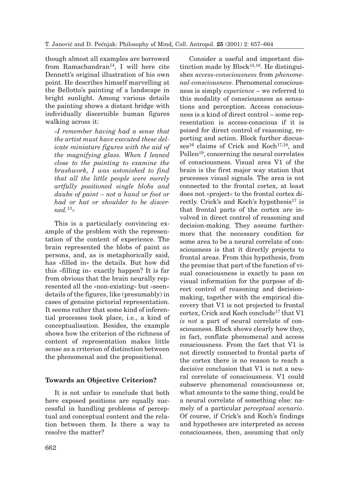though almost all examples are borrowed from Ramachandran<sup>14</sup>, I will here cite Dennett's original illustration of his own point. He describes himself marvelling at the Bellotto's painting of a landscape in bright sunlight. Among various details the painting shows a distant bridge with individually discernible human figures walking across it:

*»I remember having had a sense that the artist must have executed these delicate miniature figures with the aid of the magnifying glass. When I leaned close to the painting to examine the brushwork, I was astonished to find that all the little people were merely artfully positioned single blobs and daubs of paint – not a hand or foot or had or hat or shoulder to be discerned.13*«

This is a particularly convincing example of the problem with the representation of the content of experience. The brain represented the blobs of paint *as* persons, and, as is metaphorically said, has »filled in« the details. But how did this »filling in« exactly happen? It is far from obvious that the brain neurally represented all the »non-existing« but »seen« details of the figures, like (presumably) in cases of genuine pictorial representation. It seems rather that some kind of inferential processes took place, i.e., a kind of conceptualisation. Besides, the example shows how the criterion of the richness of content of representation makes little sense as a criterion of distinction between the phenomenal and the propositional.

#### **Towards an Objective Criterion?**

It is not unfair to conclude that both here exposed positions are equally successful in handling problems of perceptual and conceptual content and the relation between them. Is there a way to resolve the matter?

Consider a useful and important distinction made by  $Block^{15,16}$ . He distinguishes *access-consciousness* from *phenomenal-consciousness*. Phenomenal consciousness is simply *experience* – we referred to this modality of consciousness as sensations and perception. Access consciousness is a kind of direct control – some representation is access-conscious if it is poised for direct control of reasoning, reporting and action. Block further discusses<sup>16</sup> claims of Crick and Koch<sup>17,18</sup>, and  $Pollen<sup>19</sup>$ , concerning the neural correlates of consciousness. Visual area V1 of the brain is the first major way station that processes visual signals. The area is not connected to the frontal cortex, at least does not »project« to the frontal cortex directly. Crick's and Koch's hypothesis<sup>17</sup> is that frontal parts of the cortex are involved in direct control of reasoning and decision-making. They assume furthermore that the necessary condition for some area to be a neural correlate of consciousness is that it directly projects to frontal areas. From this hypothesis, from the premise that part of the function of visual consciousness is exactly to pass on visual information for the purpose of direct control of reasoning and decisionmaking, together with the empirical discovery that V1 is not projected to frontal cortex, Crick and Koch conclude<sup>17</sup> that V1 *is not* a part of neural correlate of consciousness. Block shows clearly how they, in fact, conflate phenomenal and access consciousness. From the fact that V1 is not directly connected to frontal parts of the cortex there is no reason to reach a decisive conclusion that V1 is not a neural correlate of consciousness. V1 could subserve phenomenal consciousness or, what amounts to the same thing, could be a neural correlate of something else: namely of a particular *perceptual scenario*. Of course, if Crick's and Koch's findings and hypotheses are interpreted as access consciousness, then, assuming that only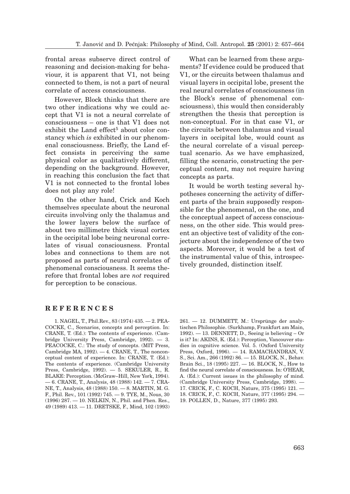frontal areas subserve direct control of reasoning and decision-making for behaviour, it is apparent that V1, not being connected to them, is not a part of neural correlate of access consciousness.

However, Block thinks that there are two other indications why we could accept that V1 is not a neural correlate of consciousness – one is that V1 does not exhibit the Land effect<sup>5</sup> about color constancy which *is* exhibited in our phenomenal consciousness. Briefly, the Land effect consists in perceiving the same physical color as qualitatively different, depending on the background. However, in reaching this conclusion the fact that V1 is not connected to the frontal lobes does not play any role!

On the other hand, Crick and Koch themselves speculate about the neuronal circuits involving only the thalamus and the lower layers below the surface of about two millimetre thick visual cortex in the occipital lobe being neuronal correlates of visual consciousness. Frontal lobes and connections to them are not proposed as parts of neural correlates of phenomenal consciousness. It seems therefore that frontal lobes are *not* required for perception to be conscious.

What can be learned from these arguments? If evidence could be produced that V1, or the circuits between thalamus and visual layers in occipital lobe, present the real neural correlates of consciousness (in the Block's sense of phenomenal consciousness), this would then considerably strengthen the thesis that perception is non-conceptual. For in that case V1, or the circuits between thalamus and visual layers in occipital lobe, would count as the neural correlate of a visual perceptual scenario. As we have emphasized, filling the scenario, constructing the perceptual content, may not require having concepts as parts.

It would be worth testing several hypotheses concerning the activity of different parts of the brain supposedly responsible for the phenomenal, on the one, and the conceptual aspect of access consciousness, on the other side. This would present an objective test of validity of the conjecture about the independence of the two aspects. Moreover, it would be a test of the instrumental value of this, introspectively grounded, distinction itself.

#### **REFERENCES**

1. NAGEL, T., Phil.Rev., 83 (1974) 435. — 2. PEA-COCKE, C., Scenarios, concepts and perception. In: CRANE, T. (Ed.): The contents of experience. (Cambridge University Press, Cambridge, 1992). — 3. PEACOCKE, C.: The study of concepts. (MIT Press, Cambridge MA, 1992). — 4. CRANE, T., The nonconceptual content of experience. In: CRANE, T. (Ed.): The contents of experience. (Cambridge University Press, Cambridge, 1992). — 5. SEKULER, R., R. BLAKE: Perception. (McGraw–Hill, New York, 1994). — 6. CRANE, T., Analysis, 48 (1988) 142. — 7. CRA-NE, T., Analysis, 48 (1988) 150. — 8. MARTIN, M. G. F., Phil. Rev., 101 (1992) 745. — 9. TYE, M., Nous, 30 (1996) 287. — 10. NELKIN, N., Phil. and Phen. Res., 49 (1989) 413. — 11. DRETSKE, F., Mind, 102 (1993)

261. — 12. DUMMETT, M.: Ursprünge der analytischen Philosophie. (Surkhamp, Frankfurt am Main, 1992). — 13. DENNETT, D., Seeing is believing – Or is it? In: AKINS, K. (Ed.): Perception, Vancouver studies in cognitive science. Vol. 5. (Oxford University Press, Oxford, 1996). — 14. RAMACHANDRAN, V. S., Sci. Am., 266 (1992) 86. — 15. BLOCK, N., Behav. Brain Sci., 18 (1995) 227. — 16. BLOCK, N., How to find the neural correlate of consciousness. In: O'HEAR, A. (Ed.): Current issues in the philosophy of mind. (Cambridge University Press, Cambridge, 1998). — 17. CRICK, F., C. KOCH, Nature, 375 (1995) 121. — 18. CRICK, F., C. KOCH, Nature, 377 (1995) 294. — 19. POLLEN, D., Nature, 377 (1995) 293.